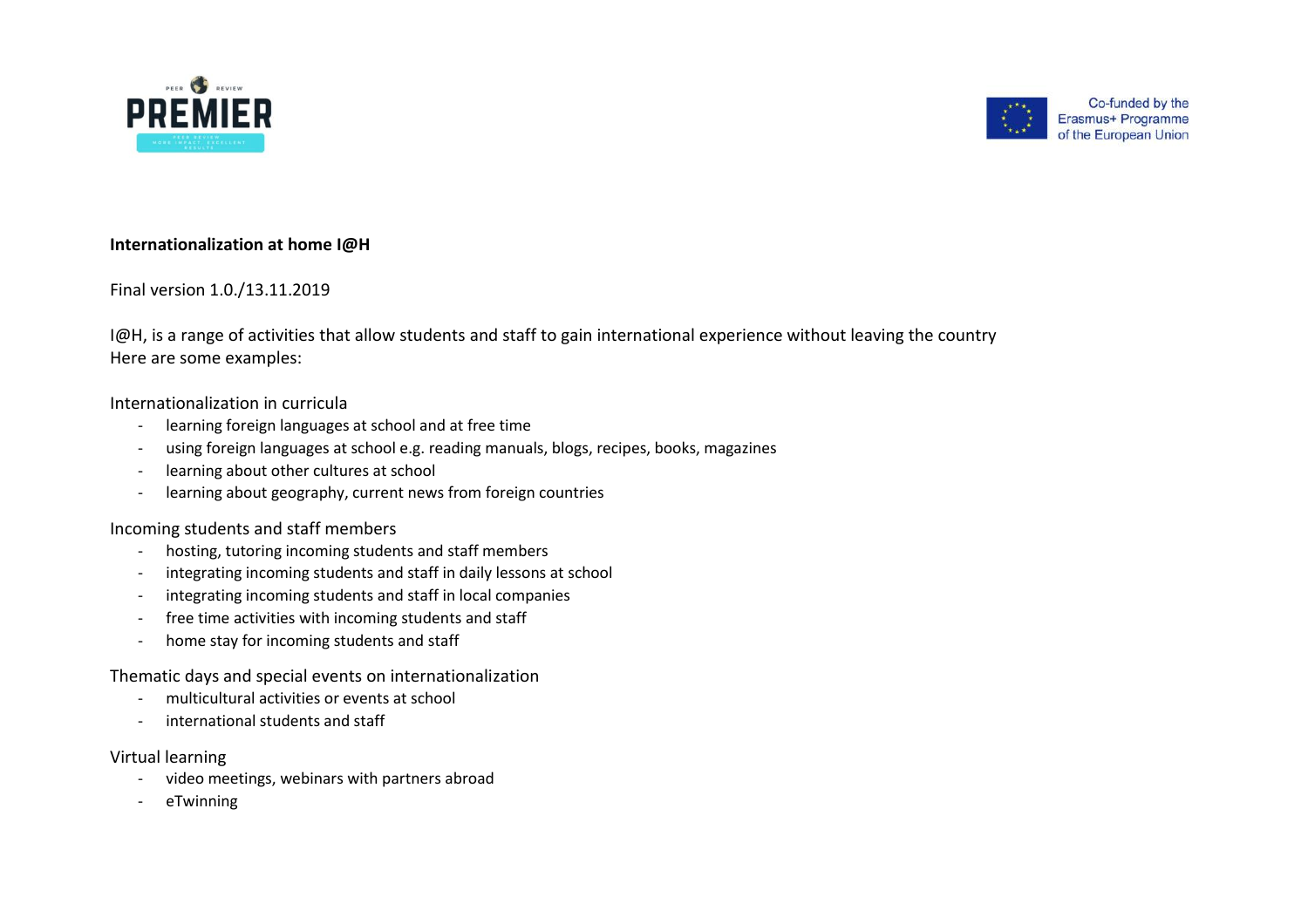



## **Internationalization at home I@H**

## Final version 1.0./13.11.2019

I@H, is a range of activities that allow students and staff to gain international experience without leaving the country Here are some examples:

#### Internationalization in curricula

- learning foreign languages at school and at free time
- using foreign languages at school e.g. reading manuals, blogs, recipes, books, magazines
- learning about other cultures at school
- learning about geography, current news from foreign countries

#### Incoming students and staff members

- hosting, tutoring incoming students and staff members
- integrating incoming students and staff in daily lessons at school
- integrating incoming students and staff in local companies
- free time activities with incoming students and staff
- home stay for incoming students and staff

## Thematic days and special events on internationalization

- multicultural activities or events at school
- international students and staff

#### Virtual learning

- video meetings, webinars with partners abroad
- eTwinning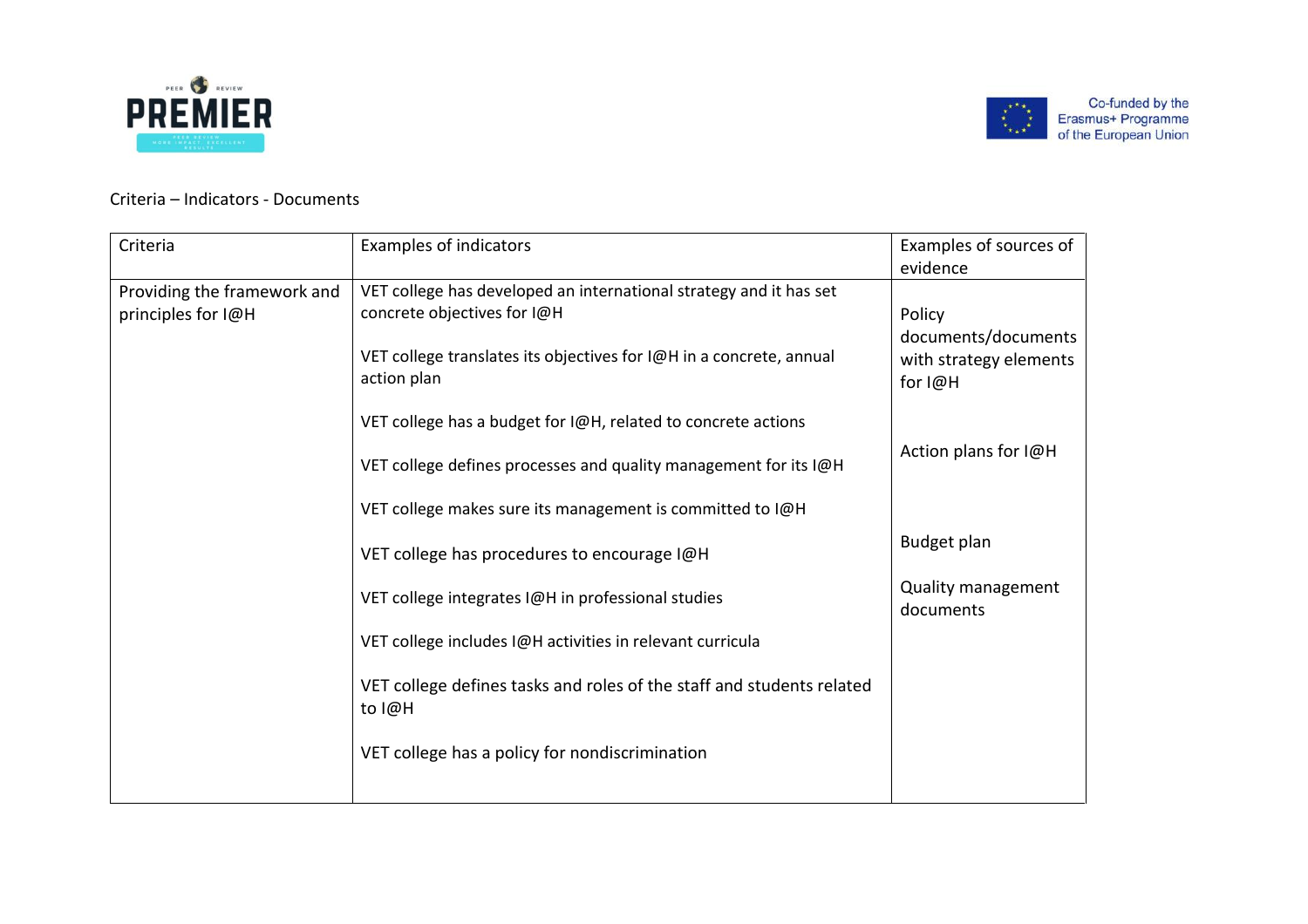



# Criteria – Indicators - Documents

| Criteria                                          | <b>Examples of indicators</b>                                                                                                                                                           | Examples of sources of<br>evidence                                 |
|---------------------------------------------------|-----------------------------------------------------------------------------------------------------------------------------------------------------------------------------------------|--------------------------------------------------------------------|
| Providing the framework and<br>principles for I@H | VET college has developed an international strategy and it has set<br>concrete objectives for I@H<br>VET college translates its objectives for I@H in a concrete, annual<br>action plan | Policy<br>documents/documents<br>with strategy elements<br>for I@H |
|                                                   | VET college has a budget for I@H, related to concrete actions                                                                                                                           | Action plans for I@H                                               |
|                                                   | VET college defines processes and quality management for its I@H<br>VET college makes sure its management is committed to I@H                                                           |                                                                    |
|                                                   | VET college has procedures to encourage I@H                                                                                                                                             | Budget plan                                                        |
|                                                   | VET college integrates I@H in professional studies                                                                                                                                      | Quality management<br>documents                                    |
|                                                   | VET college includes I@H activities in relevant curricula                                                                                                                               |                                                                    |
|                                                   | VET college defines tasks and roles of the staff and students related<br>to I@H                                                                                                         |                                                                    |
|                                                   | VET college has a policy for nondiscrimination                                                                                                                                          |                                                                    |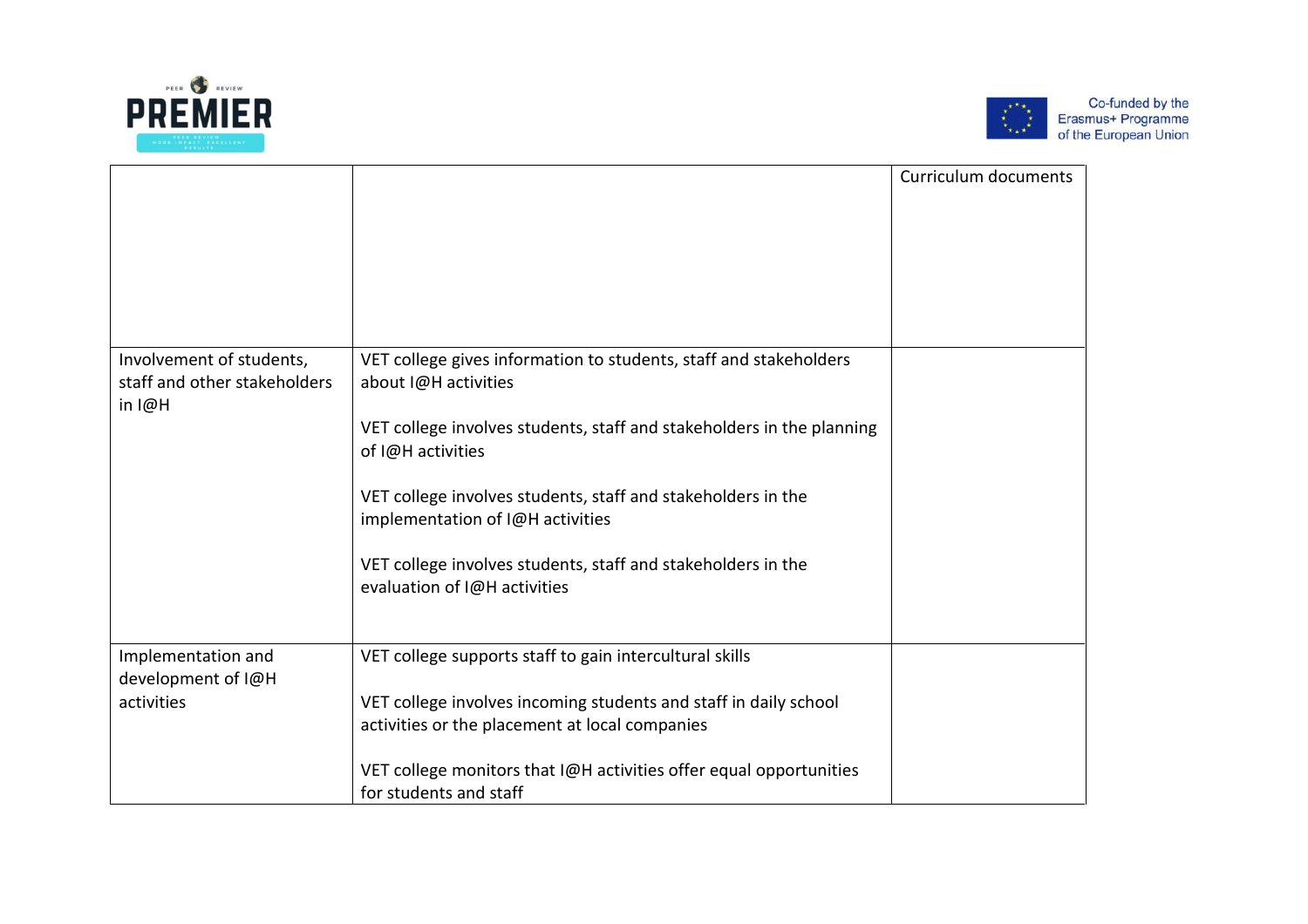



|                                                                        |                                                                                                  | Curriculum documents |
|------------------------------------------------------------------------|--------------------------------------------------------------------------------------------------|----------------------|
|                                                                        |                                                                                                  |                      |
| Involvement of students,<br>staff and other stakeholders<br>$in$ $I@H$ | VET college gives information to students, staff and stakeholders<br>about I@H activities        |                      |
|                                                                        | VET college involves students, staff and stakeholders in the planning<br>of I@H activities       |                      |
|                                                                        | VET college involves students, staff and stakeholders in the<br>implementation of I@H activities |                      |
|                                                                        | VET college involves students, staff and stakeholders in the<br>evaluation of I@H activities     |                      |
| Implementation and                                                     | VET college supports staff to gain intercultural skills                                          |                      |
| development of I@H<br>activities                                       | VET college involves incoming students and staff in daily school                                 |                      |
|                                                                        | activities or the placement at local companies                                                   |                      |
|                                                                        | VET college monitors that I@H activities offer equal opportunities<br>for students and staff     |                      |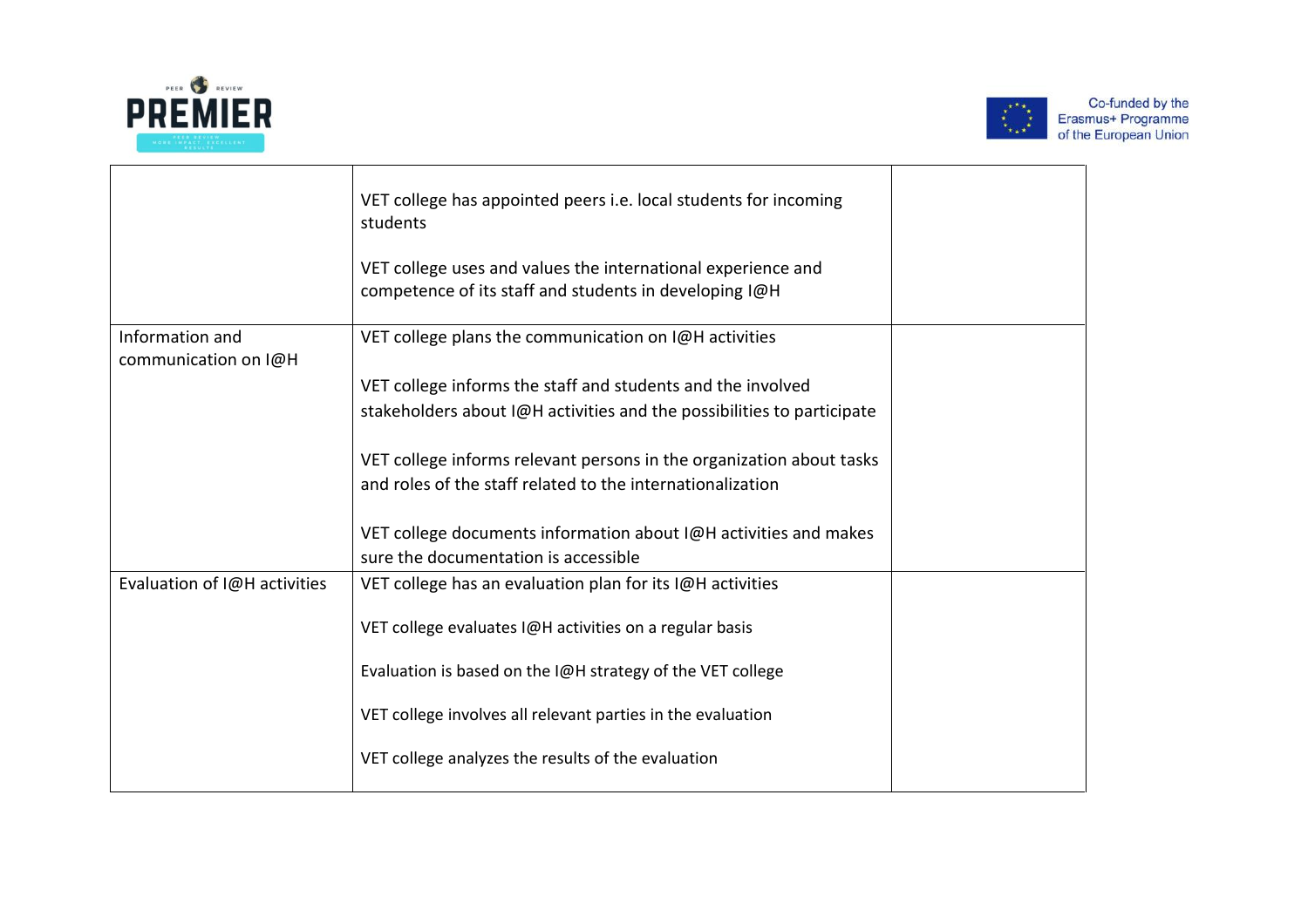



|                                         | VET college has appointed peers i.e. local students for incoming<br>students                                           |  |
|-----------------------------------------|------------------------------------------------------------------------------------------------------------------------|--|
|                                         | VET college uses and values the international experience and<br>competence of its staff and students in developing I@H |  |
| Information and<br>communication on I@H | VET college plans the communication on I@H activities                                                                  |  |
|                                         | VET college informs the staff and students and the involved                                                            |  |
|                                         | stakeholders about I@H activities and the possibilities to participate                                                 |  |
|                                         |                                                                                                                        |  |
|                                         | VET college informs relevant persons in the organization about tasks                                                   |  |
|                                         | and roles of the staff related to the internationalization                                                             |  |
|                                         |                                                                                                                        |  |
|                                         | VET college documents information about I@H activities and makes                                                       |  |
|                                         | sure the documentation is accessible                                                                                   |  |
| Evaluation of I@H activities            | VET college has an evaluation plan for its I@H activities                                                              |  |
|                                         |                                                                                                                        |  |
|                                         | VET college evaluates I@H activities on a regular basis                                                                |  |
|                                         |                                                                                                                        |  |
|                                         | Evaluation is based on the I@H strategy of the VET college                                                             |  |
|                                         | VET college involves all relevant parties in the evaluation                                                            |  |
|                                         | VET college analyzes the results of the evaluation                                                                     |  |
|                                         |                                                                                                                        |  |